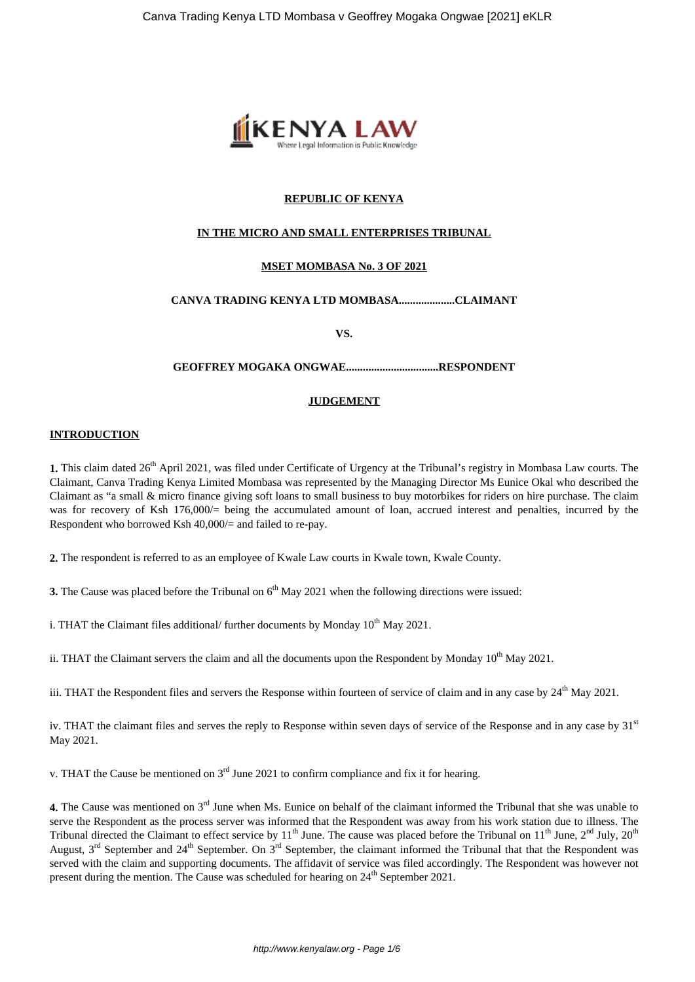

# **REPUBLIC OF KENYA**

## **IN THE MICRO AND SMALL ENTERPRISES TRIBUNAL**

# **MSET MOMBASA No. 3 OF 2021**

# **CANVA TRADING KENYA LTD MOMBASA....................CLAIMANT**

**VS.**

#### **GEOFFREY MOGAKA ONGWAE.................................RESPONDENT**

## **JUDGEMENT**

#### **INTRODUCTION**

1. This claim dated 26<sup>th</sup> April 2021, was filed under Certificate of Urgency at the Tribunal's registry in Mombasa Law courts. The Claimant, Canva Trading Kenya Limited Mombasa was represented by the Managing Director Ms Eunice Okal who described the Claimant as "a small & micro finance giving soft loans to small business to buy motorbikes for riders on hire purchase. The claim was for recovery of Ksh 176,000/= being the accumulated amount of loan, accrued interest and penalties, incurred by the Respondent who borrowed Ksh 40,000/= and failed to re-pay.

**2.** The respondent is referred to as an employee of Kwale Law courts in Kwale town, Kwale County.

**3.** The Cause was placed before the Tribunal on 6<sup>th</sup> May 2021 when the following directions were issued:

i. THAT the Claimant files additional/ further documents by Monday  $10<sup>th</sup>$  May 2021.

ii. THAT the Claimant servers the claim and all the documents upon the Respondent by Monday  $10^{th}$  May 2021.

iii. THAT the Respondent files and servers the Response within fourteen of service of claim and in any case by  $24<sup>th</sup>$  May 2021.

iv. THAT the claimant files and serves the reply to Response within seven days of service of the Response and in any case by  $31<sup>st</sup>$ May 2021.

v. THAT the Cause be mentioned on  $3<sup>rd</sup>$  June 2021 to confirm compliance and fix it for hearing.

**4.** The Cause was mentioned on 3<sup>rd</sup> June when Ms. Eunice on behalf of the claimant informed the Tribunal that she was unable to serve the Respondent as the process server was informed that the Respondent was away from his work station due to illness. The Tribunal directed the Claimant to effect service by  $11<sup>th</sup>$  June. The cause was placed before the Tribunal on  $11<sup>th</sup>$  June,  $2<sup>nd</sup>$  July,  $20<sup>th</sup>$ August,  $3^{rd}$  September and  $24^{th}$  September. On  $3^{rd}$  September, the claimant informed the Tribunal that that the Respondent was served with the claim and supporting documents. The affidavit of service was filed accordingly. The Respondent was however not present during the mention. The Cause was scheduled for hearing on  $24<sup>th</sup>$  September 2021.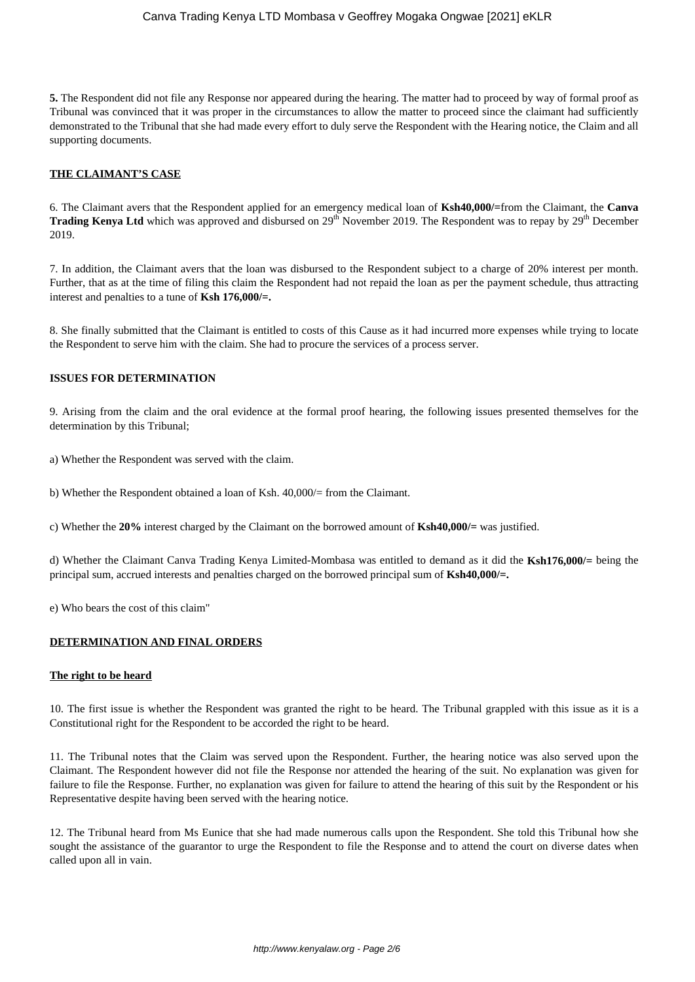**5.** The Respondent did not file any Response nor appeared during the hearing. The matter had to proceed by way of formal proof as Tribunal was convinced that it was proper in the circumstances to allow the matter to proceed since the claimant had sufficiently demonstrated to the Tribunal that she had made every effort to duly serve the Respondent with the Hearing notice, the Claim and all supporting documents.

# **THE CLAIMANT'S CASE**

6. The Claimant avers that the Respondent applied for an emergency medical loan of **Ksh40,000/=**from the Claimant, the **Canva Trading Kenya Ltd** which was approved and disbursed on 29<sup>th</sup> November 2019. The Respondent was to repay by 29<sup>th</sup> December 2019.

7. In addition, the Claimant avers that the loan was disbursed to the Respondent subject to a charge of 20% interest per month. Further, that as at the time of filing this claim the Respondent had not repaid the loan as per the payment schedule, thus attracting interest and penalties to a tune of **Ksh 176,000/=.**

8. She finally submitted that the Claimant is entitled to costs of this Cause as it had incurred more expenses while trying to locate the Respondent to serve him with the claim. She had to procure the services of a process server.

# **ISSUES FOR DETERMINATION**

9. Arising from the claim and the oral evidence at the formal proof hearing, the following issues presented themselves for the determination by this Tribunal;

a) Whether the Respondent was served with the claim.

b) Whether the Respondent obtained a loan of Ksh. 40,000/= from the Claimant.

c) Whether the **20%** interest charged by the Claimant on the borrowed amount of **Ksh40,000/=** was justified.

d) Whether the Claimant Canva Trading Kenya Limited-Mombasa was entitled to demand as it did the **Ksh176,000/=** being the principal sum, accrued interests and penalties charged on the borrowed principal sum of **Ksh40,000/=.**

e) Who bears the cost of this claim"

## **DETERMINATION AND FINAL ORDERS**

## **The right to be heard**

10. The first issue is whether the Respondent was granted the right to be heard. The Tribunal grappled with this issue as it is a Constitutional right for the Respondent to be accorded the right to be heard.

11. The Tribunal notes that the Claim was served upon the Respondent. Further, the hearing notice was also served upon the Claimant. The Respondent however did not file the Response nor attended the hearing of the suit. No explanation was given for failure to file the Response. Further, no explanation was given for failure to attend the hearing of this suit by the Respondent or his Representative despite having been served with the hearing notice.

12. The Tribunal heard from Ms Eunice that she had made numerous calls upon the Respondent. She told this Tribunal how she sought the assistance of the guarantor to urge the Respondent to file the Response and to attend the court on diverse dates when called upon all in vain.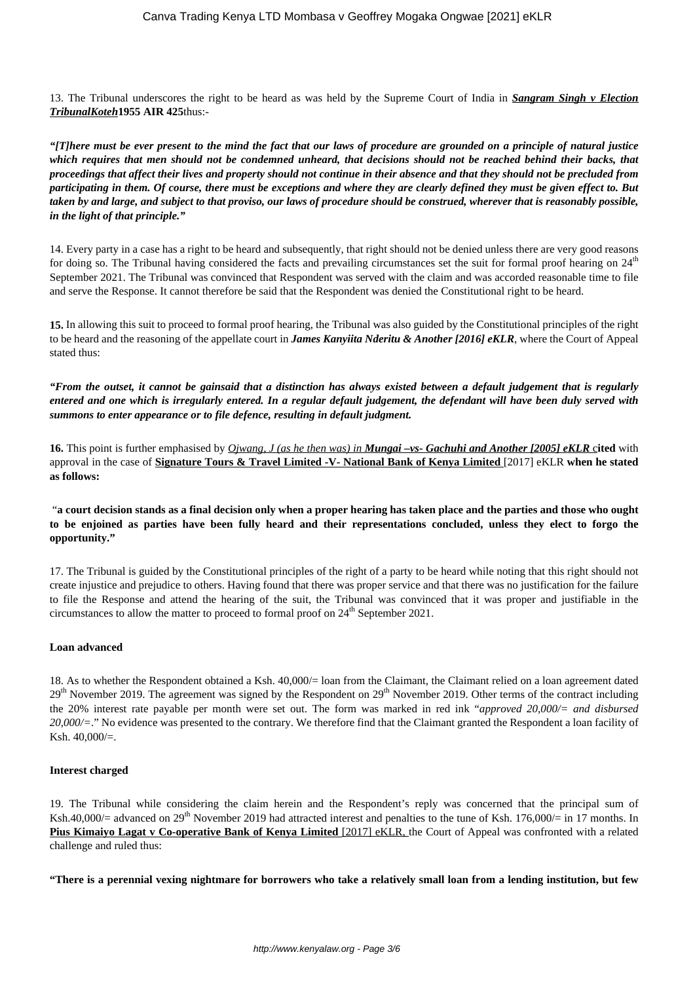13. The Tribunal underscores the right to be heard as was held by the Supreme Court of India in *Sangram Singh v Election TribunalKoteh***1955 AIR 425**thus:-

*"[T]here must be ever present to the mind the fact that our laws of procedure are grounded on a principle of natural justice which requires that men should not be condemned unheard, that decisions should not be reached behind their backs, that proceedings that affect their lives and property should not continue in their absence and that they should not be precluded from participating in them. Of course, there must be exceptions and where they are clearly defined they must be given effect to. But taken by and large, and subject to that proviso, our laws of procedure should be construed, wherever that is reasonably possible, in the light of that principle."*

14. Every party in a case has a right to be heard and subsequently, that right should not be denied unless there are very good reasons for doing so. The Tribunal having considered the facts and prevailing circumstances set the suit for formal proof hearing on  $24<sup>th</sup>$ September 2021. The Tribunal was convinced that Respondent was served with the claim and was accorded reasonable time to file and serve the Response. It cannot therefore be said that the Respondent was denied the Constitutional right to be heard.

**15.** In allowing this suit to proceed to formal proof hearing, the Tribunal was also guided by the Constitutional principles of the right to be heard and the reasoning of the appellate court in *James Kanyiita Nderitu & Another [2016] eKLR*, where the Court of Appeal stated thus:

*"From the outset, it cannot be gainsaid that a distinction has always existed between a default judgement that is regularly entered and one which is irregularly entered. In a regular default judgement, the defendant will have been duly served with summons to enter appearance or to file defence, resulting in default judgment.*

**16.** This point is further emphasised by *Ojwang, J (as he then was) in Mungai –vs- Gachuhi and Another [2005] eKLR* c**ited** with approval in the case of **Signature Tours & Travel Limited -V- National Bank of Kenya Limited** [2017] eKLR **when he stated as follows:** 

"**a court decision stands as a final decision only when a proper hearing has taken place and the parties and those who ought to be enjoined as parties have been fully heard and their representations concluded, unless they elect to forgo the opportunity."**

17. The Tribunal is guided by the Constitutional principles of the right of a party to be heard while noting that this right should not create injustice and prejudice to others. Having found that there was proper service and that there was no justification for the failure to file the Response and attend the hearing of the suit, the Tribunal was convinced that it was proper and justifiable in the circumstances to allow the matter to proceed to formal proof on  $24<sup>th</sup>$  September 2021.

## **Loan advanced**

18. As to whether the Respondent obtained a Ksh. 40,000/= loan from the Claimant, the Claimant relied on a loan agreement dated 29<sup>th</sup> November 2019. The agreement was signed by the Respondent on 29<sup>th</sup> November 2019. Other terms of the contract including the 20% interest rate payable per month were set out. The form was marked in red ink "*approved 20,000/= and disbursed 20,000/=*." No evidence was presented to the contrary. We therefore find that the Claimant granted the Respondent a loan facility of Ksh. 40,000/=.

## **Interest charged**

19. The Tribunal while considering the claim herein and the Respondent's reply was concerned that the principal sum of Ksh.40,000/= advanced on  $29<sup>th</sup>$  November 2019 had attracted interest and penalties to the tune of Ksh. 176,000/= in 17 months. In **Pius Kimaiyo Lagat v Co-operative Bank of Kenya Limited [2017] eKLR, the Court of Appeal was confronted with a related** challenge and ruled thus:

**"There is a perennial vexing nightmare for borrowers who take a relatively small loan from a lending institution, but few**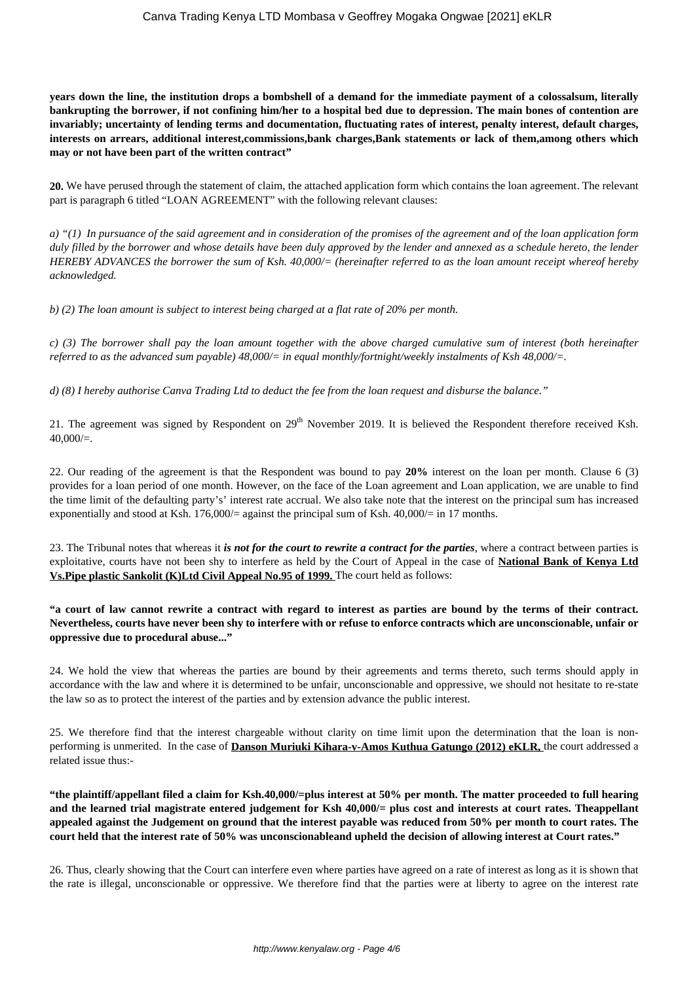**years down the line, the institution drops a bombshell of a demand for the immediate payment of a colossalsum, literally bankrupting the borrower, if not confining him/her to a hospital bed due to depression. The main bones of contention are invariably; uncertainty of lending terms and documentation, fluctuating rates of interest, penalty interest, default charges, interests on arrears, additional interest,commissions,bank charges,Bank statements or lack of them,among others which may or not have been part of the written contract"**

**20.** We have perused through the statement of claim, the attached application form which contains the loan agreement. The relevant part is paragraph 6 titled "LOAN AGREEMENT" with the following relevant clauses:

*a) "(1) In pursuance of the said agreement and in consideration of the promises of the agreement and of the loan application form duly filled by the borrower and whose details have been duly approved by the lender and annexed as a schedule hereto, the lender HEREBY ADVANCES the borrower the sum of Ksh. 40,000/= (hereinafter referred to as the loan amount receipt whereof hereby acknowledged.*

*b) (2) The loan amount is subject to interest being charged at a flat rate of 20% per month.* 

*c) (3) The borrower shall pay the loan amount together with the above charged cumulative sum of interest (both hereinafter referred to as the advanced sum payable) 48,000/= in equal monthly/fortnight/weekly instalments of Ksh 48,000/=.* 

*d) (8) I hereby authorise Canva Trading Ltd to deduct the fee from the loan request and disburse the balance."* 

21. The agreement was signed by Respondent on  $29<sup>th</sup>$  November 2019. It is believed the Respondent therefore received Ksh.  $40,000/=$ .

22. Our reading of the agreement is that the Respondent was bound to pay **20%** interest on the loan per month. Clause 6 (3) provides for a loan period of one month. However, on the face of the Loan agreement and Loan application, we are unable to find the time limit of the defaulting party's' interest rate accrual. We also take note that the interest on the principal sum has increased exponentially and stood at Ksh. 176,000/= against the principal sum of Ksh.  $40,000/=$  in 17 months.

23. The Tribunal notes that whereas it *is not for the court to rewrite a contract for the parties*, where a contract between parties is exploitative, courts have not been shy to interfere as held by the Court of Appeal in the case of **National Bank of Kenya Ltd Vs.Pipe plastic Sankolit (K)Ltd Civil Appeal No.95 of 1999.** The court held as follows:

**"a court of law cannot rewrite a contract with regard to interest as parties are bound by the terms of their contract. Nevertheless, courts have never been shy to interfere with or refuse to enforce contracts which are unconscionable, unfair or oppressive due to procedural abuse..."**

24. We hold the view that whereas the parties are bound by their agreements and terms thereto, such terms should apply in accordance with the law and where it is determined to be unfair, unconscionable and oppressive, we should not hesitate to re-state the law so as to protect the interest of the parties and by extension advance the public interest.

25. We therefore find that the interest chargeable without clarity on time limit upon the determination that the loan is nonperforming is unmerited. In the case of **Danson Muriuki Kihara-v-Amos Kuthua Gatungo (2012) eKLR,** the court addressed a related issue thus:-

**"the plaintiff/appellant filed a claim for Ksh.40,000/=plus interest at 50% per month. The matter proceeded to full hearing and the learned trial magistrate entered judgement for Ksh 40,000/= plus cost and interests at court rates. Theappellant appealed against the Judgement on ground that the interest payable was reduced from 50% per month to court rates. The court held that the interest rate of 50% was unconscionableand upheld the decision of allowing interest at Court rates."**

26. Thus, clearly showing that the Court can interfere even where parties have agreed on a rate of interest as long as it is shown that the rate is illegal, unconscionable or oppressive. We therefore find that the parties were at liberty to agree on the interest rate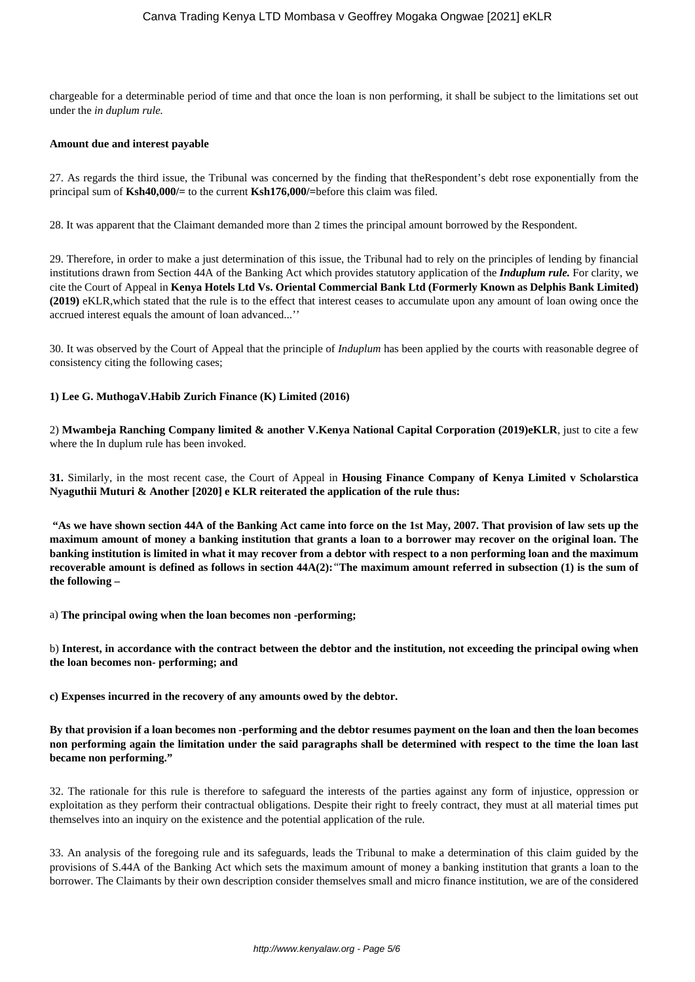chargeable for a determinable period of time and that once the loan is non performing, it shall be subject to the limitations set out under the *in duplum rule.* 

#### **Amount due and interest payable**

27. As regards the third issue, the Tribunal was concerned by the finding that theRespondent's debt rose exponentially from the principal sum of **Ksh40,000/=** to the current **Ksh176,000/=**before this claim was filed.

28. It was apparent that the Claimant demanded more than 2 times the principal amount borrowed by the Respondent.

29. Therefore, in order to make a just determination of this issue, the Tribunal had to rely on the principles of lending by financial institutions drawn from Section 44A of the Banking Act which provides statutory application of the *Induplum rule.* For clarity, we cite the Court of Appeal in **Kenya Hotels Ltd Vs. Oriental Commercial Bank Ltd (Formerly Known as Delphis Bank Limited) (2019)** eKLR,which stated that the rule is to the effect that interest ceases to accumulate upon any amount of loan owing once the accrued interest equals the amount of loan advanced...''

30. It was observed by the Court of Appeal that the principle of *Induplum* has been applied by the courts with reasonable degree of consistency citing the following cases;

#### **1) Lee G. MuthogaV.Habib Zurich Finance (K) Limited (2016)**

2) **Mwambeja Ranching Company limited & another V.Kenya National Capital Corporation (2019)eKLR**, just to cite a few where the In duplum rule has been invoked.

**31.** Similarly, in the most recent case, the Court of Appeal in **Housing Finance Company of Kenya Limited v Scholarstica Nyaguthii Muturi & Another [2020] e KLR reiterated the application of the rule thus:** 

**"As we have shown section 44A of the Banking Act came into force on the 1st May, 2007. That provision of law sets up the maximum amount of money a banking institution that grants a loan to a borrower may recover on the original loan. The banking institution is limited in what it may recover from a debtor with respect to a non performing loan and the maximum recoverable amount is defined as follows in section 44A(2):***"***The maximum amount referred in subsection (1) is the sum of the following –**

a) **The principal owing when the loan becomes non -performing;**

b) **Interest, in accordance with the contract between the debtor and the institution, not exceeding the principal owing when the loan becomes non- performing; and**

**c) Expenses incurred in the recovery of any amounts owed by the debtor.**

**By that provision if a loan becomes non -performing and the debtor resumes payment on the loan and then the loan becomes non performing again the limitation under the said paragraphs shall be determined with respect to the time the loan last became non performing."**

32. The rationale for this rule is therefore to safeguard the interests of the parties against any form of injustice, oppression or exploitation as they perform their contractual obligations. Despite their right to freely contract, they must at all material times put themselves into an inquiry on the existence and the potential application of the rule.

33. An analysis of the foregoing rule and its safeguards, leads the Tribunal to make a determination of this claim guided by the provisions of S.44A of the Banking Act which sets the maximum amount of money a banking institution that grants a loan to the borrower. The Claimants by their own description consider themselves small and micro finance institution, we are of the considered